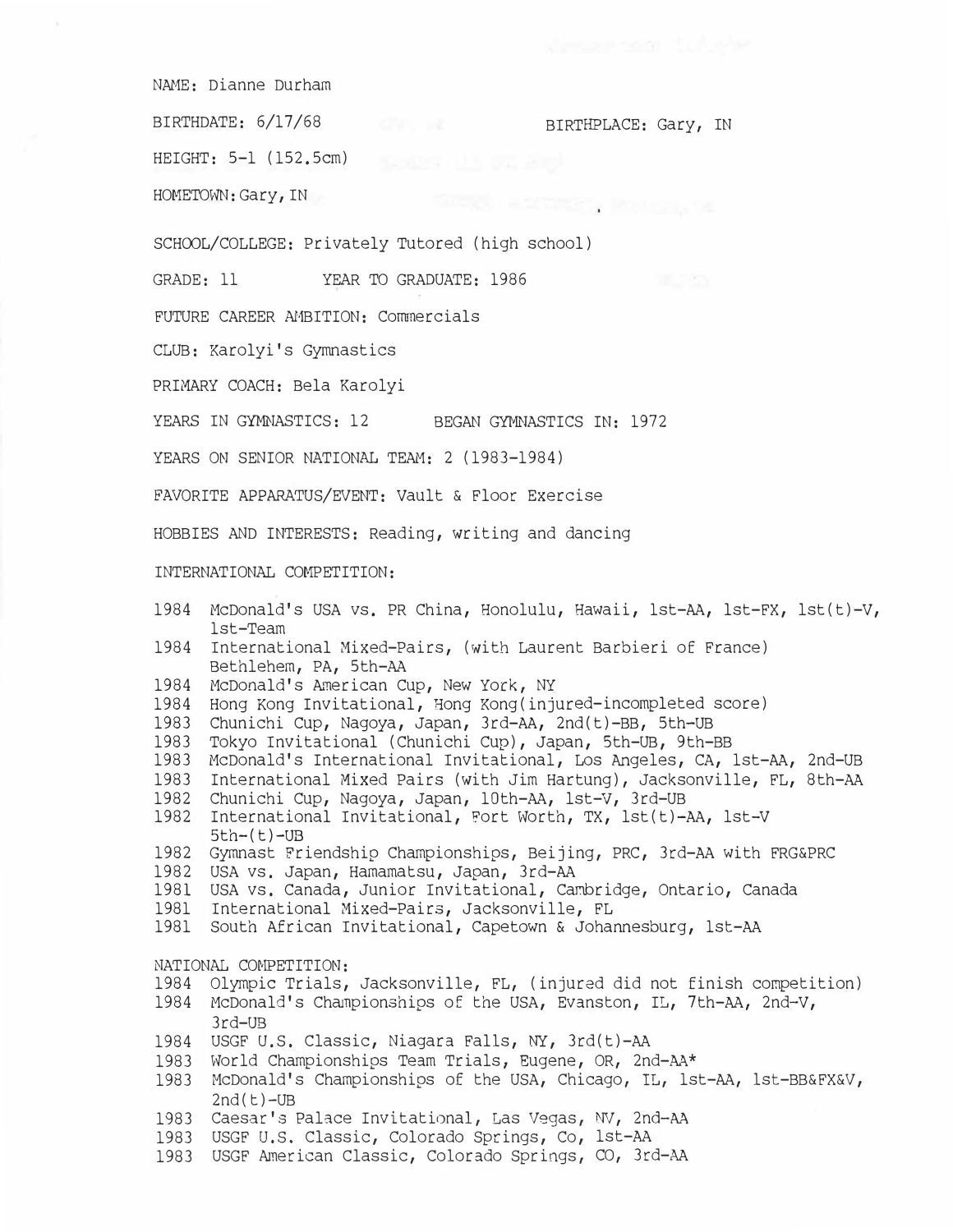NAME: Dianne Durham

BIRTHDATE: 6/17/68 BIRTHPLACE: Gary, IN

GREEN HISTORICS REPORTS

HEIGHT: 5-1 (152.5cm)

HOMETOWN: Gary, IN

SCHOOL/COLLEGE: Privately Tutored (high school)

GRADE: 11 YEAR TO GRADUATE: 1986

FUTURE CAREER AMBITION: Commercials

CLUB: Karolyi's Gymnastics

PRIMARY COACH: Bela Karolyi

YEARS IN GYMNASTICS: 12 BEGAN GYMNASTICS IN: 1972

YEARS ON SENIOR NATIONAL TEAM: 2 (1983-1984)

FAVORITE APPARATUS/EVENT: Vault & Floor Exercise

HOBBIES AND INTERESTS: Reading, writing and dancing

INTERNATIONAL COMPETITION:

- 1984 McDonald's USA vs. PR China, Honolulu, Hawaii, 1st-AA, lst-FX, lst(t)-V, 1st-Team 1984 International Mixed-Pairs, (with Laurent Barbieri of France) Bethlehem, PA, 5th-AA 1984 McDonald's American Cup, New York, NY 1984 Hong Kong Invitational, Hong Kong(injured-incompleted score) 1983 Chunichi Cup, Nagoya, Japan, 3rd-AA, 2nd(t)-BB, Sth-UB 1983 Tokyo Invitational (Chunichi Cup), Japan, Sth-UB, 9th-BB 1983 McDonald's International Invitational, Los Angeles, CA, 1st-AA, 2nd-UB 1983 International Mixed Pairs (with Jim Hartung), Jacksonville, FL, 8th-AA 1982 Chunichi Cup, Nagoya, Japan, 10th-AA, lst-v, 3rd-UB 1982 International Invitational, Fort Worth, TX, lst(t)-AA, lst-V  $5th-(t)-UB$ 1982 Gymnast Friendship Championships, Beijing, PRC, 3rd-AA with FRG&PRC 1982 USA vs. Japan, Hamamatsu, Japan, 3rd-AA 1981 USA vs. Canada, Junior Invitational, Cambridge, Ontario, Canada 1981 International Mixed-Pairs, Jacksonville, FL 1981 South African Invitational, Capetown & Johannesburg, 1st-AA NATIONAL COMPETITION: 1984 Olympic Trials, Jacksonville, FL, (injured did not finish competition) 1984 McDonald's Ch�npionships of the USA, Evanston, IL, 7th-AA, 2nd-V, 1984 USGF U.S. Classic, Niagara Falls, NY, 3rd(t)-AA 1983 World Championships Team Trials, Eugene, OR, 2nd-AA\* 1983 McDonald's Championships of the USA, Chicago, IL, 1st-AA, lst-BB&FX&V, 3rd-UB
- $2nd(t)-UB$
- 1983 Caesar's Palace Invitational, Las Vegas, NV, **2nd-AA**
- 1983 USGF u.s. Classic, Colorado Springs, Co, 1st-AA
- 1983 USGF American Classic, Colorado Springs, CO, 3rd-AA